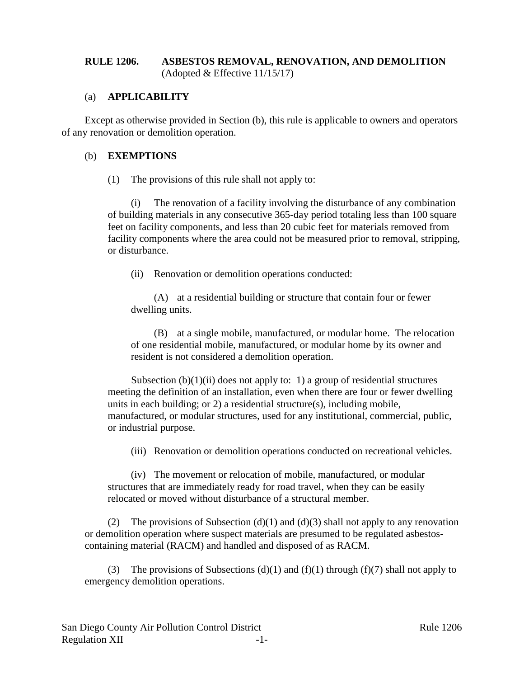# **RULE 1206. ASBESTOS REMOVAL, RENOVATION, AND DEMOLITION** (Adopted & Effective 11/15/17)

# (a) **APPLICABILITY**

Except as otherwise provided in Section (b), this rule is applicable to owners and operators of any renovation or demolition operation.

#### (b) **EXEMPTIONS**

(1) The provisions of this rule shall not apply to:

(i) The renovation of a facility involving the disturbance of any combination of building materials in any consecutive 365-day period totaling less than 100 square feet on facility components, and less than 20 cubic feet for materials removed from facility components where the area could not be measured prior to removal, stripping, or disturbance.

(ii) Renovation or demolition operations conducted:

(A) at a residential building or structure that contain four or fewer dwelling units.

(B) at a single mobile, manufactured, or modular home. The relocation of one residential mobile, manufactured, or modular home by its owner and resident is not considered a demolition operation.

Subsection  $(b)(1)(ii)$  does not apply to: 1) a group of residential structures meeting the definition of an installation, even when there are four or fewer dwelling units in each building; or 2) a residential structure(s), including mobile, manufactured, or modular structures, used for any institutional, commercial, public, or industrial purpose.

(iii) Renovation or demolition operations conducted on recreational vehicles.

(iv) The movement or relocation of mobile, manufactured, or modular structures that are immediately ready for road travel, when they can be easily relocated or moved without disturbance of a structural member.

(2) The provisions of Subsection (d)(1) and (d)(3) shall not apply to any renovation or demolition operation where suspect materials are presumed to be regulated asbestoscontaining material (RACM) and handled and disposed of as RACM.

(3) The provisions of Subsections (d)(1) and (f)(1) through (f)(7) shall not apply to emergency demolition operations.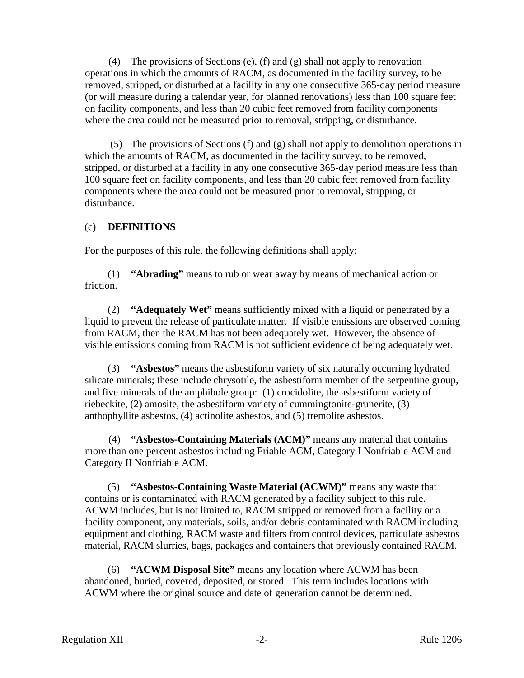(4) The provisions of Sections (e), (f) and (g) shall not apply to renovation operations in which the amounts of RACM, as documented in the facility survey, to be removed, stripped, or disturbed at a facility in any one consecutive 365-day period measure (or will measure during a calendar year, for planned renovations) less than 100 square feet on facility components, and less than 20 cubic feet removed from facility components where the area could not be measured prior to removal, stripping, or disturbance.

(5) The provisions of Sections (f) and (g) shall not apply to demolition operations in which the amounts of RACM, as documented in the facility survey, to be removed, stripped, or disturbed at a facility in any one consecutive 365-day period measure less than 100 square feet on facility components, and less than 20 cubic feet removed from facility components where the area could not be measured prior to removal, stripping, or disturbance.

# (c) **DEFINITIONS**

For the purposes of this rule, the following definitions shall apply:

(1) **"Abrading"** means to rub or wear away by means of mechanical action or friction.

(2) **"Adequately Wet"** means sufficiently mixed with a liquid or penetrated by a liquid to prevent the release of particulate matter. If visible emissions are observed coming from RACM, then the RACM has not been adequately wet. However, the absence of visible emissions coming from RACM is not sufficient evidence of being adequately wet.

(3) **"Asbestos"** means the asbestiform variety of six naturally occurring hydrated silicate minerals; these include chrysotile, the asbestiform member of the serpentine group, and five minerals of the amphibole group: (1) crocidolite, the asbestiform variety of riebeckite, (2) amosite, the asbestiform variety of cummingtonite-grunerite, (3) anthophyllite asbestos, (4) actinolite asbestos, and (5) tremolite asbestos.

(4) **"Asbestos-Containing Materials (ACM)"** means any material that contains more than one percent asbestos including Friable ACM, Category I Nonfriable ACM and Category II Nonfriable ACM.

(5) **"Asbestos-Containing Waste Material (ACWM)"** means any waste that contains or is contaminated with RACM generated by a facility subject to this rule. ACWM includes, but is not limited to, RACM stripped or removed from a facility or a facility component, any materials, soils, and/or debris contaminated with RACM including equipment and clothing, RACM waste and filters from control devices, particulate asbestos material, RACM slurries, bags, packages and containers that previously contained RACM.

(6) **"ACWM Disposal Site"** means any location where ACWM has been abandoned, buried, covered, deposited, or stored. This term includes locations with ACWM where the original source and date of generation cannot be determined.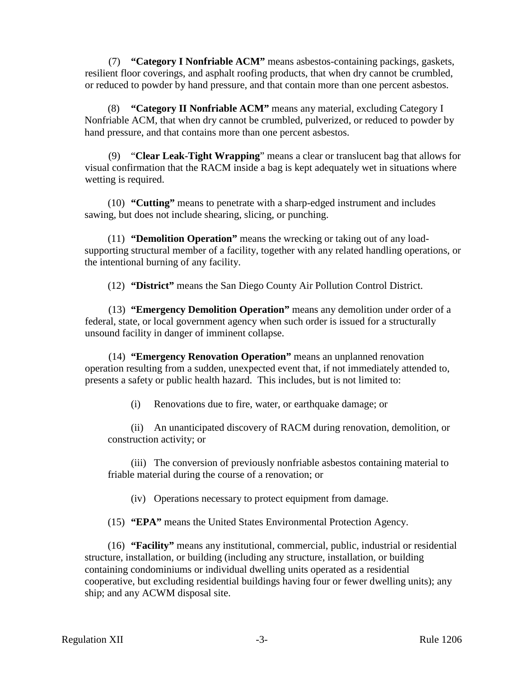(7) **"Category I Nonfriable ACM"** means asbestos-containing packings, gaskets, resilient floor coverings, and asphalt roofing products, that when dry cannot be crumbled, or reduced to powder by hand pressure, and that contain more than one percent asbestos.

(8) **"Category II Nonfriable ACM"** means any material, excluding Category I Nonfriable ACM, that when dry cannot be crumbled, pulverized, or reduced to powder by hand pressure, and that contains more than one percent asbestos.

(9) "**Clear Leak-Tight Wrapping**" means a clear or translucent bag that allows for visual confirmation that the RACM inside a bag is kept adequately wet in situations where wetting is required.

(10) **"Cutting"** means to penetrate with a sharp-edged instrument and includes sawing, but does not include shearing, slicing, or punching.

(11) **"Demolition Operation"** means the wrecking or taking out of any loadsupporting structural member of a facility, together with any related handling operations, or the intentional burning of any facility.

(12) **"District"** means the San Diego County Air Pollution Control District.

(13) **"Emergency Demolition Operation"** means any demolition under order of a federal, state, or local government agency when such order is issued for a structurally unsound facility in danger of imminent collapse.

(14) **"Emergency Renovation Operation"** means an unplanned renovation operation resulting from a sudden, unexpected event that, if not immediately attended to, presents a safety or public health hazard. This includes, but is not limited to:

(i) Renovations due to fire, water, or earthquake damage; or

(ii) An unanticipated discovery of RACM during renovation, demolition, or construction activity; or

(iii) The conversion of previously nonfriable asbestos containing material to friable material during the course of a renovation; or

(iv) Operations necessary to protect equipment from damage.

(15) **"EPA"** means the United States Environmental Protection Agency.

(16) **"Facility"** means any institutional, commercial, public, industrial or residential structure, installation, or building (including any structure, installation, or building containing condominiums or individual dwelling units operated as a residential cooperative, but excluding residential buildings having four or fewer dwelling units); any ship; and any ACWM disposal site.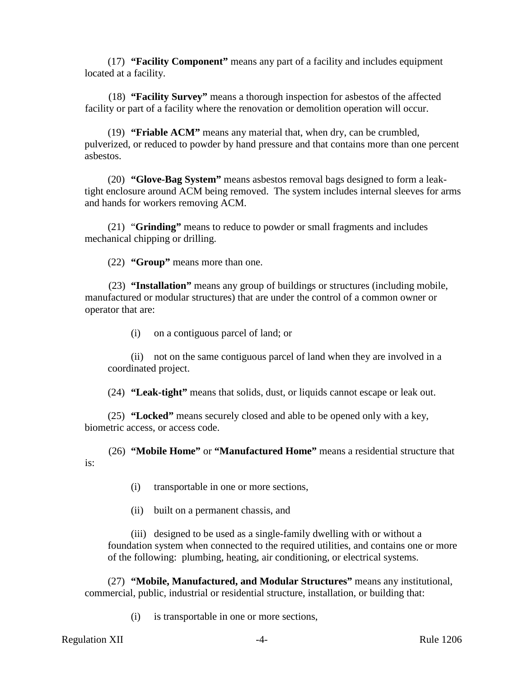(17) **"Facility Component"** means any part of a facility and includes equipment located at a facility.

(18) **"Facility Survey"** means a thorough inspection for asbestos of the affected facility or part of a facility where the renovation or demolition operation will occur.

(19) **"Friable ACM"** means any material that, when dry, can be crumbled, pulverized, or reduced to powder by hand pressure and that contains more than one percent asbestos.

(20) **"Glove-Bag System"** means asbestos removal bags designed to form a leaktight enclosure around ACM being removed. The system includes internal sleeves for arms and hands for workers removing ACM.

(21) "**Grinding"** means to reduce to powder or small fragments and includes mechanical chipping or drilling.

(22) **"Group"** means more than one.

(23) **"Installation"** means any group of buildings or structures (including mobile, manufactured or modular structures) that are under the control of a common owner or operator that are:

(i) on a contiguous parcel of land; or

(ii) not on the same contiguous parcel of land when they are involved in a coordinated project.

(24) **"Leak-tight"** means that solids, dust, or liquids cannot escape or leak out.

(25) **"Locked"** means securely closed and able to be opened only with a key, biometric access, or access code.

(26) **"Mobile Home"** or **"Manufactured Home"** means a residential structure that is:

- (i) transportable in one or more sections,
- (ii) built on a permanent chassis, and

(iii) designed to be used as a single-family dwelling with or without a foundation system when connected to the required utilities, and contains one or more of the following: plumbing, heating, air conditioning, or electrical systems.

(27) **"Mobile, Manufactured, and Modular Structures"** means any institutional, commercial, public, industrial or residential structure, installation, or building that:

(i) is transportable in one or more sections,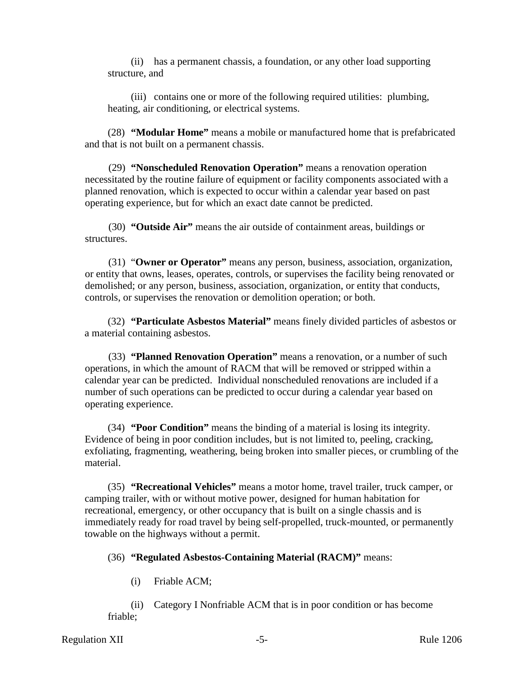(ii) has a permanent chassis, a foundation, or any other load supporting structure, and

(iii) contains one or more of the following required utilities: plumbing, heating, air conditioning, or electrical systems.

(28) **"Modular Home"** means a mobile or manufactured home that is prefabricated and that is not built on a permanent chassis.

(29) **"Nonscheduled Renovation Operation"** means a renovation operation necessitated by the routine failure of equipment or facility components associated with a planned renovation, which is expected to occur within a calendar year based on past operating experience, but for which an exact date cannot be predicted.

(30) **"Outside Air"** means the air outside of containment areas, buildings or structures.

(31) "**Owner or Operator"** means any person, business, association, organization, or entity that owns, leases, operates, controls, or supervises the facility being renovated or demolished; or any person, business, association, organization, or entity that conducts, controls, or supervises the renovation or demolition operation; or both.

(32) **"Particulate Asbestos Material"** means finely divided particles of asbestos or a material containing asbestos.

(33) **"Planned Renovation Operation"** means a renovation, or a number of such operations, in which the amount of RACM that will be removed or stripped within a calendar year can be predicted. Individual nonscheduled renovations are included if a number of such operations can be predicted to occur during a calendar year based on operating experience.

(34) **"Poor Condition"** means the binding of a material is losing its integrity. Evidence of being in poor condition includes, but is not limited to, peeling, cracking, exfoliating, fragmenting, weathering, being broken into smaller pieces, or crumbling of the material.

(35) **"Recreational Vehicles"** means a motor home, travel trailer, truck camper, or camping trailer, with or without motive power, designed for human habitation for recreational, emergency, or other occupancy that is built on a single chassis and is immediately ready for road travel by being self-propelled, truck-mounted, or permanently towable on the highways without a permit.

(36) **"Regulated Asbestos-Containing Material (RACM)"** means:

(i) Friable ACM;

(ii) Category I Nonfriable ACM that is in poor condition or has become friable;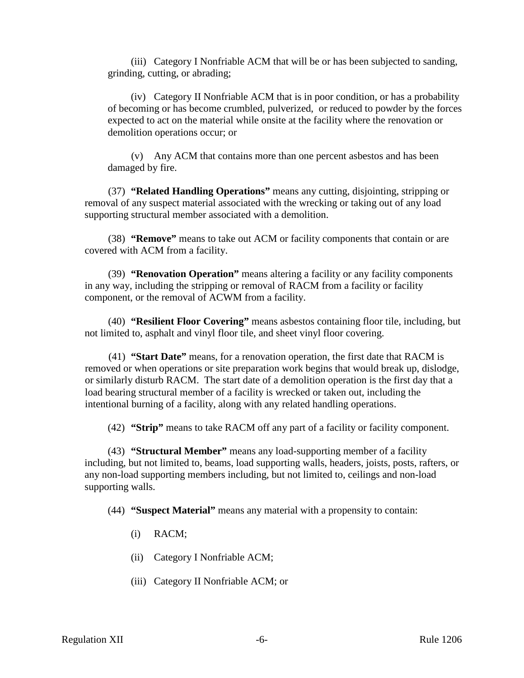(iii) Category I Nonfriable ACM that will be or has been subjected to sanding, grinding, cutting, or abrading;

(iv) Category II Nonfriable ACM that is in poor condition, or has a probability of becoming or has become crumbled, pulverized, or reduced to powder by the forces expected to act on the material while onsite at the facility where the renovation or demolition operations occur; or

(v) Any ACM that contains more than one percent asbestos and has been damaged by fire.

(37) **"Related Handling Operations"** means any cutting, disjointing, stripping or removal of any suspect material associated with the wrecking or taking out of any load supporting structural member associated with a demolition.

(38) **"Remove"** means to take out ACM or facility components that contain or are covered with ACM from a facility.

(39) **"Renovation Operation"** means altering a facility or any facility components in any way, including the stripping or removal of RACM from a facility or facility component, or the removal of ACWM from a facility.

(40) **"Resilient Floor Covering"** means asbestos containing floor tile, including, but not limited to, asphalt and vinyl floor tile, and sheet vinyl floor covering.

(41) **"Start Date"** means, for a renovation operation, the first date that RACM is removed or when operations or site preparation work begins that would break up, dislodge, or similarly disturb RACM. The start date of a demolition operation is the first day that a load bearing structural member of a facility is wrecked or taken out, including the intentional burning of a facility, along with any related handling operations.

(42) **"Strip"** means to take RACM off any part of a facility or facility component.

(43) **"Structural Member"** means any load-supporting member of a facility including, but not limited to, beams, load supporting walls, headers, joists, posts, rafters, or any non-load supporting members including, but not limited to, ceilings and non-load supporting walls.

(44) **"Suspect Material"** means any material with a propensity to contain:

- (i) RACM;
- (ii) Category I Nonfriable ACM;
- (iii) Category II Nonfriable ACM; or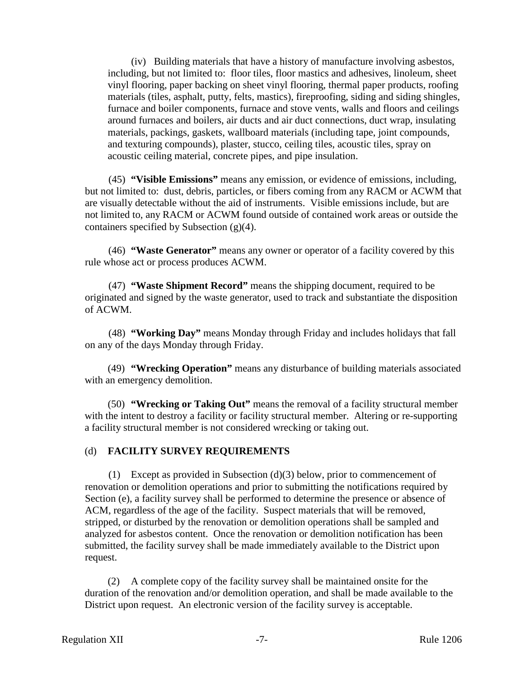(iv) Building materials that have a history of manufacture involving asbestos, including, but not limited to: floor tiles, floor mastics and adhesives, linoleum, sheet vinyl flooring, paper backing on sheet vinyl flooring, thermal paper products, roofing materials (tiles, asphalt, putty, felts, mastics), fireproofing, siding and siding shingles, furnace and boiler components, furnace and stove vents, walls and floors and ceilings around furnaces and boilers, air ducts and air duct connections, duct wrap, insulating materials, packings, gaskets, wallboard materials (including tape, joint compounds, and texturing compounds), plaster, stucco, ceiling tiles, acoustic tiles, spray on acoustic ceiling material, concrete pipes, and pipe insulation.

(45) **"Visible Emissions"** means any emission, or evidence of emissions, including, but not limited to: dust, debris, particles, or fibers coming from any RACM or ACWM that are visually detectable without the aid of instruments. Visible emissions include, but are not limited to, any RACM or ACWM found outside of contained work areas or outside the containers specified by Subsection (g)(4).

(46) **"Waste Generator"** means any owner or operator of a facility covered by this rule whose act or process produces ACWM.

(47) **"Waste Shipment Record"** means the shipping document, required to be originated and signed by the waste generator, used to track and substantiate the disposition of ACWM.

(48) **"Working Day"** means Monday through Friday and includes holidays that fall on any of the days Monday through Friday.

(49) **"Wrecking Operation"** means any disturbance of building materials associated with an emergency demolition.

(50) **"Wrecking or Taking Out"** means the removal of a facility structural member with the intent to destroy a facility or facility structural member. Altering or re-supporting a facility structural member is not considered wrecking or taking out.

#### (d) **FACILITY SURVEY REQUIREMENTS**

(1) Except as provided in Subsection (d)(3) below, prior to commencement of renovation or demolition operations and prior to submitting the notifications required by Section (e), a facility survey shall be performed to determine the presence or absence of ACM, regardless of the age of the facility. Suspect materials that will be removed, stripped, or disturbed by the renovation or demolition operations shall be sampled and analyzed for asbestos content. Once the renovation or demolition notification has been submitted, the facility survey shall be made immediately available to the District upon request.

(2) A complete copy of the facility survey shall be maintained onsite for the duration of the renovation and/or demolition operation, and shall be made available to the District upon request. An electronic version of the facility survey is acceptable.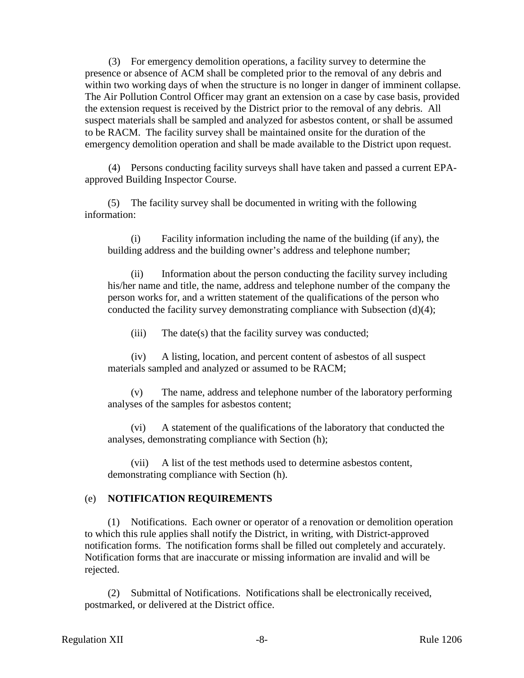(3) For emergency demolition operations, a facility survey to determine the presence or absence of ACM shall be completed prior to the removal of any debris and within two working days of when the structure is no longer in danger of imminent collapse. The Air Pollution Control Officer may grant an extension on a case by case basis, provided the extension request is received by the District prior to the removal of any debris. All suspect materials shall be sampled and analyzed for asbestos content, or shall be assumed to be RACM. The facility survey shall be maintained onsite for the duration of the emergency demolition operation and shall be made available to the District upon request.

(4) Persons conducting facility surveys shall have taken and passed a current EPAapproved Building Inspector Course.

(5) The facility survey shall be documented in writing with the following information:

(i) Facility information including the name of the building (if any), the building address and the building owner's address and telephone number;

(ii) Information about the person conducting the facility survey including his/her name and title, the name, address and telephone number of the company the person works for, and a written statement of the qualifications of the person who conducted the facility survey demonstrating compliance with Subsection (d)(4);

(iii) The date(s) that the facility survey was conducted;

(iv) A listing, location, and percent content of asbestos of all suspect materials sampled and analyzed or assumed to be RACM;

(v) The name, address and telephone number of the laboratory performing analyses of the samples for asbestos content;

(vi) A statement of the qualifications of the laboratory that conducted the analyses, demonstrating compliance with Section (h);

(vii) A list of the test methods used to determine asbestos content, demonstrating compliance with Section (h).

#### (e) **NOTIFICATION REQUIREMENTS**

(1) Notifications. Each owner or operator of a renovation or demolition operation to which this rule applies shall notify the District, in writing, with District-approved notification forms. The notification forms shall be filled out completely and accurately. Notification forms that are inaccurate or missing information are invalid and will be rejected.

(2) Submittal of Notifications. Notifications shall be electronically received, postmarked, or delivered at the District office.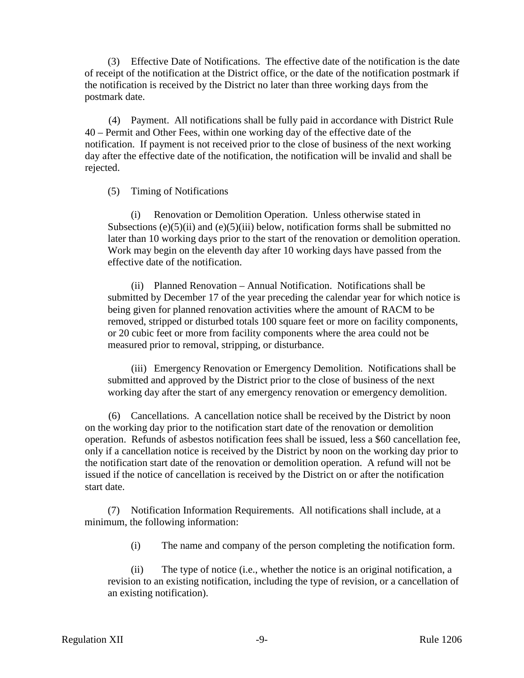(3) Effective Date of Notifications. The effective date of the notification is the date of receipt of the notification at the District office, or the date of the notification postmark if the notification is received by the District no later than three working days from the postmark date.

(4) Payment. All notifications shall be fully paid in accordance with District Rule 40 – Permit and Other Fees, within one working day of the effective date of the notification. If payment is not received prior to the close of business of the next working day after the effective date of the notification, the notification will be invalid and shall be rejected.

# (5) Timing of Notifications

(i) Renovation or Demolition Operation. Unless otherwise stated in Subsections  $(e)(5)(ii)$  and  $(e)(5)(iii)$  below, notification forms shall be submitted no later than 10 working days prior to the start of the renovation or demolition operation. Work may begin on the eleventh day after 10 working days have passed from the effective date of the notification.

(ii) Planned Renovation – Annual Notification. Notifications shall be submitted by December 17 of the year preceding the calendar year for which notice is being given for planned renovation activities where the amount of RACM to be removed, stripped or disturbed totals 100 square feet or more on facility components, or 20 cubic feet or more from facility components where the area could not be measured prior to removal, stripping, or disturbance.

(iii) Emergency Renovation or Emergency Demolition. Notifications shall be submitted and approved by the District prior to the close of business of the next working day after the start of any emergency renovation or emergency demolition.

(6) Cancellations. A cancellation notice shall be received by the District by noon on the working day prior to the notification start date of the renovation or demolition operation. Refunds of asbestos notification fees shall be issued, less a \$60 cancellation fee, only if a cancellation notice is received by the District by noon on the working day prior to the notification start date of the renovation or demolition operation. A refund will not be issued if the notice of cancellation is received by the District on or after the notification start date.

(7) Notification Information Requirements. All notifications shall include, at a minimum, the following information:

(i) The name and company of the person completing the notification form.

(ii) The type of notice (i.e., whether the notice is an original notification, a revision to an existing notification, including the type of revision, or a cancellation of an existing notification).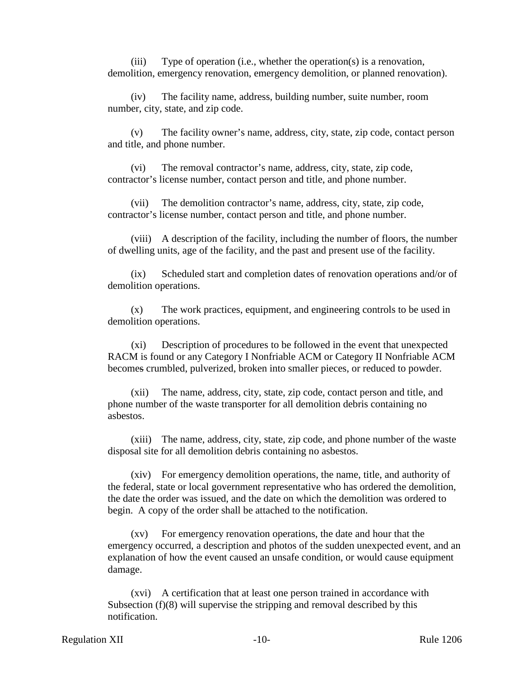(iii) Type of operation (i.e., whether the operation(s) is a renovation, demolition, emergency renovation, emergency demolition, or planned renovation).

(iv) The facility name, address, building number, suite number, room number, city, state, and zip code.

(v) The facility owner's name, address, city, state, zip code, contact person and title, and phone number.

(vi) The removal contractor's name, address, city, state, zip code, contractor's license number, contact person and title, and phone number.

(vii) The demolition contractor's name, address, city, state, zip code, contractor's license number, contact person and title, and phone number.

(viii) A description of the facility, including the number of floors, the number of dwelling units, age of the facility, and the past and present use of the facility.

(ix) Scheduled start and completion dates of renovation operations and/or of demolition operations.

(x) The work practices, equipment, and engineering controls to be used in demolition operations.

(xi) Description of procedures to be followed in the event that unexpected RACM is found or any Category I Nonfriable ACM or Category II Nonfriable ACM becomes crumbled, pulverized, broken into smaller pieces, or reduced to powder.

(xii) The name, address, city, state, zip code, contact person and title, and phone number of the waste transporter for all demolition debris containing no asbestos.

(xiii) The name, address, city, state, zip code, and phone number of the waste disposal site for all demolition debris containing no asbestos.

(xiv) For emergency demolition operations, the name, title, and authority of the federal, state or local government representative who has ordered the demolition, the date the order was issued, and the date on which the demolition was ordered to begin. A copy of the order shall be attached to the notification.

(xv) For emergency renovation operations, the date and hour that the emergency occurred, a description and photos of the sudden unexpected event, and an explanation of how the event caused an unsafe condition, or would cause equipment damage.

(xvi) A certification that at least one person trained in accordance with Subsection (f)(8) will supervise the stripping and removal described by this notification.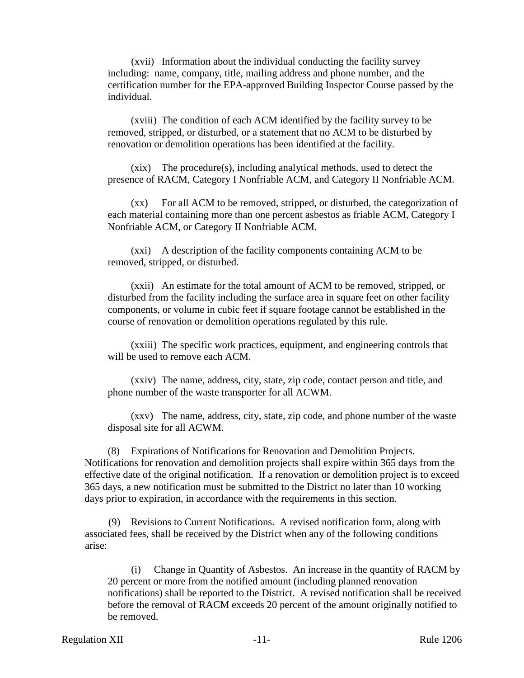(xvii) Information about the individual conducting the facility survey including: name, company, title, mailing address and phone number, and the certification number for the EPA-approved Building Inspector Course passed by the individual.

(xviii) The condition of each ACM identified by the facility survey to be removed, stripped, or disturbed, or a statement that no ACM to be disturbed by renovation or demolition operations has been identified at the facility.

(xix) The procedure(s), including analytical methods, used to detect the presence of RACM, Category I Nonfriable ACM, and Category II Nonfriable ACM.

(xx) For all ACM to be removed, stripped, or disturbed, the categorization of each material containing more than one percent asbestos as friable ACM, Category I Nonfriable ACM, or Category II Nonfriable ACM.

(xxi) A description of the facility components containing ACM to be removed, stripped, or disturbed.

(xxii) An estimate for the total amount of ACM to be removed, stripped, or disturbed from the facility including the surface area in square feet on other facility components, or volume in cubic feet if square footage cannot be established in the course of renovation or demolition operations regulated by this rule.

(xxiii) The specific work practices, equipment, and engineering controls that will be used to remove each ACM.

(xxiv) The name, address, city, state, zip code, contact person and title, and phone number of the waste transporter for all ACWM.

(xxv) The name, address, city, state, zip code, and phone number of the waste disposal site for all ACWM.

(8) Expirations of Notifications for Renovation and Demolition Projects. Notifications for renovation and demolition projects shall expire within 365 days from the effective date of the original notification. If a renovation or demolition project is to exceed 365 days, a new notification must be submitted to the District no later than 10 working days prior to expiration, in accordance with the requirements in this section.

(9) Revisions to Current Notifications. A revised notification form, along with associated fees, shall be received by the District when any of the following conditions arise:

(i) Change in Quantity of Asbestos. An increase in the quantity of RACM by 20 percent or more from the notified amount (including planned renovation notifications) shall be reported to the District. A revised notification shall be received before the removal of RACM exceeds 20 percent of the amount originally notified to be removed.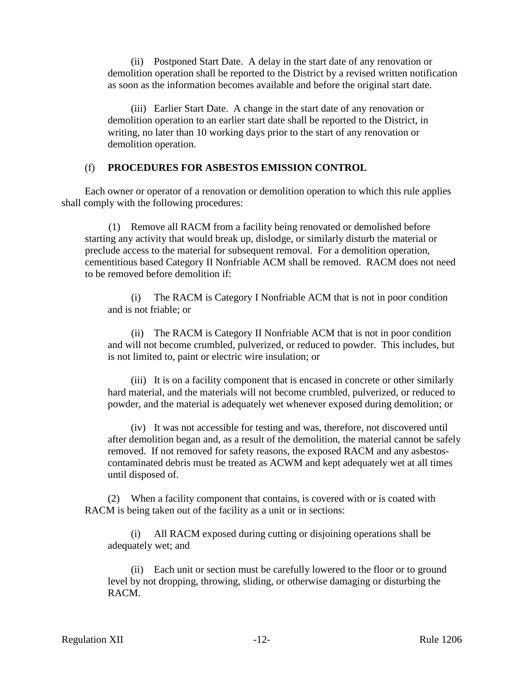(ii) Postponed Start Date. A delay in the start date of any renovation or demolition operation shall be reported to the District by a revised written notification as soon as the information becomes available and before the original start date.

(iii) Earlier Start Date. A change in the start date of any renovation or demolition operation to an earlier start date shall be reported to the District, in writing, no later than 10 working days prior to the start of any renovation or demolition operation.

### (f) **PROCEDURES FOR ASBESTOS EMISSION CONTROL**

Each owner or operator of a renovation or demolition operation to which this rule applies shall comply with the following procedures:

(1) Remove all RACM from a facility being renovated or demolished before starting any activity that would break up, dislodge, or similarly disturb the material or preclude access to the material for subsequent removal. For a demolition operation, cementitious based Category II Nonfriable ACM shall be removed. RACM does not need to be removed before demolition if:

(i) The RACM is Category I Nonfriable ACM that is not in poor condition and is not friable; or

(ii) The RACM is Category II Nonfriable ACM that is not in poor condition and will not become crumbled, pulverized, or reduced to powder. This includes, but is not limited to, paint or electric wire insulation; or

(iii) It is on a facility component that is encased in concrete or other similarly hard material, and the materials will not become crumbled, pulverized, or reduced to powder, and the material is adequately wet whenever exposed during demolition; or

(iv) It was not accessible for testing and was, therefore, not discovered until after demolition began and, as a result of the demolition, the material cannot be safely removed. If not removed for safety reasons, the exposed RACM and any asbestoscontaminated debris must be treated as ACWM and kept adequately wet at all times until disposed of.

(2) When a facility component that contains, is covered with or is coated with RACM is being taken out of the facility as a unit or in sections:

(i) All RACM exposed during cutting or disjoining operations shall be adequately wet; and

(ii) Each unit or section must be carefully lowered to the floor or to ground level by not dropping, throwing, sliding, or otherwise damaging or disturbing the RACM.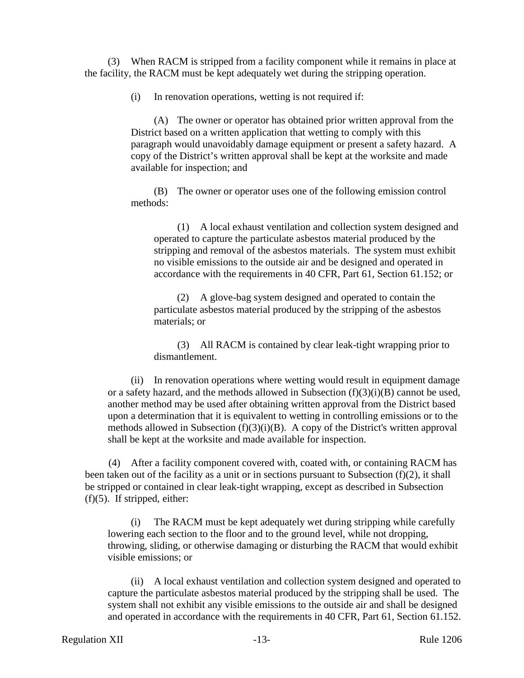(3) When RACM is stripped from a facility component while it remains in place at the facility, the RACM must be kept adequately wet during the stripping operation.

(i) In renovation operations, wetting is not required if:

(A) The owner or operator has obtained prior written approval from the District based on a written application that wetting to comply with this paragraph would unavoidably damage equipment or present a safety hazard. A copy of the District's written approval shall be kept at the worksite and made available for inspection; and

(B) The owner or operator uses one of the following emission control methods:

(1) A local exhaust ventilation and collection system designed and operated to capture the particulate asbestos material produced by the stripping and removal of the asbestos materials. The system must exhibit no visible emissions to the outside air and be designed and operated in accordance with the requirements in 40 CFR, Part 61, Section 61.152; or

(2) A glove-bag system designed and operated to contain the particulate asbestos material produced by the stripping of the asbestos materials; or

(3) All RACM is contained by clear leak-tight wrapping prior to dismantlement.

(ii) In renovation operations where wetting would result in equipment damage or a safety hazard, and the methods allowed in Subsection  $(f)(3)(i)(B)$  cannot be used, another method may be used after obtaining written approval from the District based upon a determination that it is equivalent to wetting in controlling emissions or to the methods allowed in Subsection (f)(3)(i)(B). A copy of the District's written approval shall be kept at the worksite and made available for inspection.

(4) After a facility component covered with, coated with, or containing RACM has been taken out of the facility as a unit or in sections pursuant to Subsection (f)(2), it shall be stripped or contained in clear leak-tight wrapping, except as described in Subsection  $(f)(5)$ . If stripped, either:

(i) The RACM must be kept adequately wet during stripping while carefully lowering each section to the floor and to the ground level, while not dropping, throwing, sliding, or otherwise damaging or disturbing the RACM that would exhibit visible emissions; or

(ii) A local exhaust ventilation and collection system designed and operated to capture the particulate asbestos material produced by the stripping shall be used. The system shall not exhibit any visible emissions to the outside air and shall be designed and operated in accordance with the requirements in 40 CFR, Part 61, Section 61.152.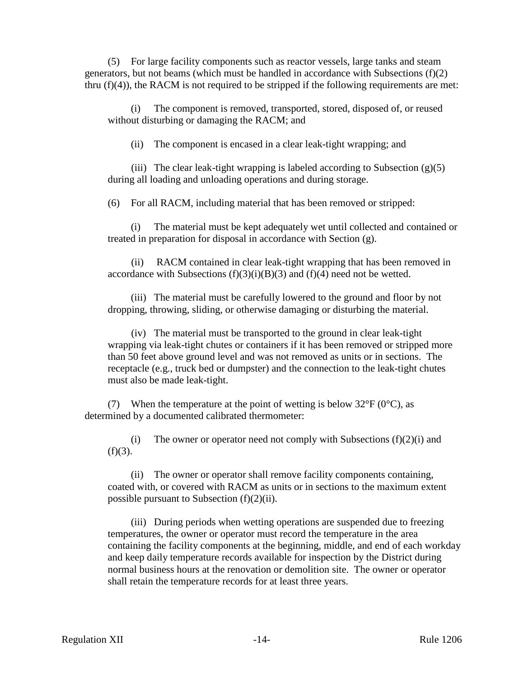(5) For large facility components such as reactor vessels, large tanks and steam generators, but not beams (which must be handled in accordance with Subsections (f)(2) thru  $(f)(4)$ , the RACM is not required to be stripped if the following requirements are met:

(i) The component is removed, transported, stored, disposed of, or reused without disturbing or damaging the RACM; and

(ii) The component is encased in a clear leak-tight wrapping; and

(iii) The clear leak-tight wrapping is labeled according to Subsection  $(g)(5)$ during all loading and unloading operations and during storage.

(6) For all RACM, including material that has been removed or stripped:

(i) The material must be kept adequately wet until collected and contained or treated in preparation for disposal in accordance with Section (g).

(ii) RACM contained in clear leak-tight wrapping that has been removed in accordance with Subsections  $(f)(3)(i)(B)(3)$  and  $(f)(4)$  need not be wetted.

(iii) The material must be carefully lowered to the ground and floor by not dropping, throwing, sliding, or otherwise damaging or disturbing the material.

(iv) The material must be transported to the ground in clear leak-tight wrapping via leak-tight chutes or containers if it has been removed or stripped more than 50 feet above ground level and was not removed as units or in sections. The receptacle (e.g., truck bed or dumpster) and the connection to the leak-tight chutes must also be made leak-tight.

(7) When the temperature at the point of wetting is below  $32^{\circ}F(0^{\circ}C)$ , as determined by a documented calibrated thermometer:

(i) The owner or operator need not comply with Subsections  $(f)(2)(i)$  and  $(f)(3)$ .

(ii) The owner or operator shall remove facility components containing, coated with, or covered with RACM as units or in sections to the maximum extent possible pursuant to Subsection (f)(2)(ii).

(iii) During periods when wetting operations are suspended due to freezing temperatures, the owner or operator must record the temperature in the area containing the facility components at the beginning, middle, and end of each workday and keep daily temperature records available for inspection by the District during normal business hours at the renovation or demolition site. The owner or operator shall retain the temperature records for at least three years.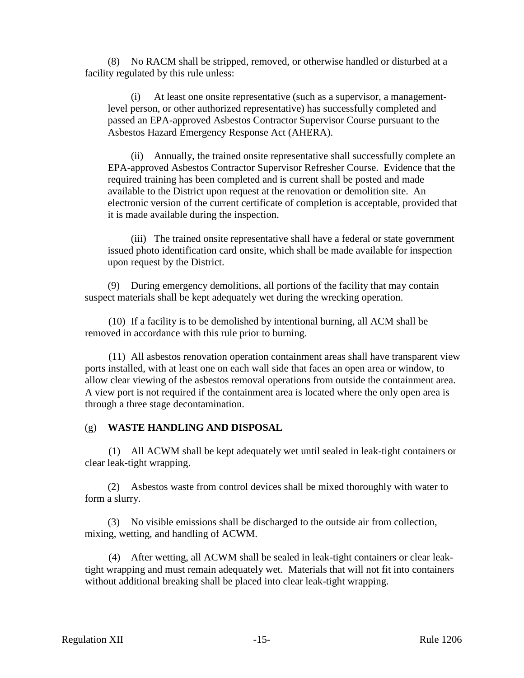(8) No RACM shall be stripped, removed, or otherwise handled or disturbed at a facility regulated by this rule unless:

(i) At least one onsite representative (such as a supervisor, a managementlevel person, or other authorized representative) has successfully completed and passed an EPA-approved Asbestos Contractor Supervisor Course pursuant to the Asbestos Hazard Emergency Response Act (AHERA).

(ii) Annually, the trained onsite representative shall successfully complete an EPA-approved Asbestos Contractor Supervisor Refresher Course. Evidence that the required training has been completed and is current shall be posted and made available to the District upon request at the renovation or demolition site. An electronic version of the current certificate of completion is acceptable, provided that it is made available during the inspection.

(iii) The trained onsite representative shall have a federal or state government issued photo identification card onsite, which shall be made available for inspection upon request by the District.

(9) During emergency demolitions, all portions of the facility that may contain suspect materials shall be kept adequately wet during the wrecking operation.

(10) If a facility is to be demolished by intentional burning, all ACM shall be removed in accordance with this rule prior to burning.

(11) All asbestos renovation operation containment areas shall have transparent view ports installed, with at least one on each wall side that faces an open area or window, to allow clear viewing of the asbestos removal operations from outside the containment area. A view port is not required if the containment area is located where the only open area is through a three stage decontamination.

#### (g) **WASTE HANDLING AND DISPOSAL**

(1) All ACWM shall be kept adequately wet until sealed in leak-tight containers or clear leak-tight wrapping.

(2) Asbestos waste from control devices shall be mixed thoroughly with water to form a slurry.

(3) No visible emissions shall be discharged to the outside air from collection, mixing, wetting, and handling of ACWM.

(4) After wetting, all ACWM shall be sealed in leak-tight containers or clear leaktight wrapping and must remain adequately wet. Materials that will not fit into containers without additional breaking shall be placed into clear leak-tight wrapping.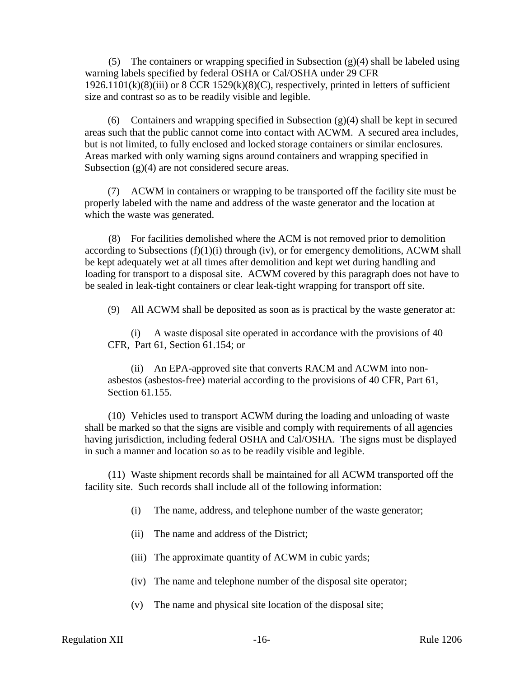(5) The containers or wrapping specified in Subsection  $(g)(4)$  shall be labeled using warning labels specified by federal OSHA or Cal/OSHA under 29 CFR  $1926.1101(k)(8)(iii)$  or  $8 \text{ CCR } 1529(k)(8)(C)$ , respectively, printed in letters of sufficient size and contrast so as to be readily visible and legible.

(6) Containers and wrapping specified in Subsection (g)(4) shall be kept in secured areas such that the public cannot come into contact with ACWM. A secured area includes, but is not limited, to fully enclosed and locked storage containers or similar enclosures. Areas marked with only warning signs around containers and wrapping specified in Subsection (g)(4) are not considered secure areas.

(7) ACWM in containers or wrapping to be transported off the facility site must be properly labeled with the name and address of the waste generator and the location at which the waste was generated.

(8) For facilities demolished where the ACM is not removed prior to demolition according to Subsections  $(f)(1)(i)$  through  $(iv)$ , or for emergency demolitions, ACWM shall be kept adequately wet at all times after demolition and kept wet during handling and loading for transport to a disposal site. ACWM covered by this paragraph does not have to be sealed in leak-tight containers or clear leak-tight wrapping for transport off site.

(9) All ACWM shall be deposited as soon as is practical by the waste generator at:

(i) A waste disposal site operated in accordance with the provisions of 40 CFR, Part 61, Section 61.154; or

(ii) An EPA-approved site that converts RACM and ACWM into nonasbestos (asbestos-free) material according to the provisions of 40 CFR, Part 61, Section 61.155.

(10) Vehicles used to transport ACWM during the loading and unloading of waste shall be marked so that the signs are visible and comply with requirements of all agencies having jurisdiction, including federal OSHA and Cal/OSHA. The signs must be displayed in such a manner and location so as to be readily visible and legible.

(11) Waste shipment records shall be maintained for all ACWM transported off the facility site. Such records shall include all of the following information:

- (i) The name, address, and telephone number of the waste generator;
- (ii) The name and address of the District;
- (iii) The approximate quantity of ACWM in cubic yards;
- (iv) The name and telephone number of the disposal site operator;
- (v) The name and physical site location of the disposal site;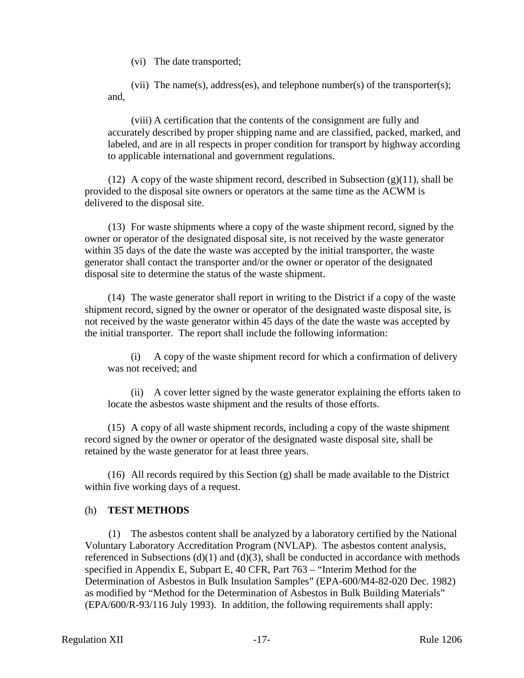(vi) The date transported;

(vii) The name(s), address(es), and telephone number(s) of the transporter(s); and,

(viii) A certification that the contents of the consignment are fully and accurately described by proper shipping name and are classified, packed, marked, and labeled, and are in all respects in proper condition for transport by highway according to applicable international and government regulations.

(12) A copy of the waste shipment record, described in Subsection  $(g)(11)$ , shall be provided to the disposal site owners or operators at the same time as the ACWM is delivered to the disposal site.

(13) For waste shipments where a copy of the waste shipment record, signed by the owner or operator of the designated disposal site, is not received by the waste generator within 35 days of the date the waste was accepted by the initial transporter, the waste generator shall contact the transporter and/or the owner or operator of the designated disposal site to determine the status of the waste shipment.

(14) The waste generator shall report in writing to the District if a copy of the waste shipment record, signed by the owner or operator of the designated waste disposal site, is not received by the waste generator within 45 days of the date the waste was accepted by the initial transporter. The report shall include the following information:

(i) A copy of the waste shipment record for which a confirmation of delivery was not received; and

(ii) A cover letter signed by the waste generator explaining the efforts taken to locate the asbestos waste shipment and the results of those efforts.

(15) A copy of all waste shipment records, including a copy of the waste shipment record signed by the owner or operator of the designated waste disposal site, shall be retained by the waste generator for at least three years.

(16) All records required by this Section (g) shall be made available to the District within five working days of a request.

# (h) **TEST METHODS**

(1) The asbestos content shall be analyzed by a laboratory certified by the National Voluntary Laboratory Accreditation Program (NVLAP). The asbestos content analysis, referenced in Subsections  $(d)(1)$  and  $(d)(3)$ , shall be conducted in accordance with methods specified in Appendix E, Subpart E, 40 CFR, Part 763 – "Interim Method for the Determination of Asbestos in Bulk Insulation Samples" (EPA-600/M4-82-020 Dec. 1982) as modified by "Method for the Determination of Asbestos in Bulk Building Materials" (EPA/600/R-93/116 July 1993). In addition, the following requirements shall apply: